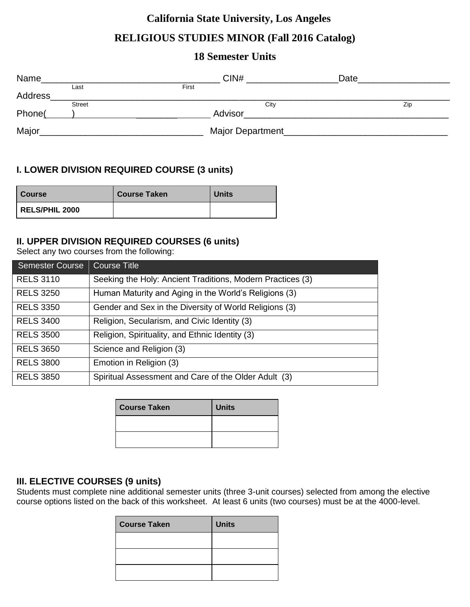# **California State University, Los Angeles**

# **RELIGIOUS STUDIES MINOR (Fall 2016 Catalog)**

## **18 Semester Units**

| Name    |               | CIN#             | Date |
|---------|---------------|------------------|------|
|         | Last          | First            |      |
| Address |               |                  |      |
|         | <b>Street</b> | City             | Zip  |
| Phone(  |               | Advisor          |      |
| Major   |               | Major Department |      |

## **I. LOWER DIVISION REQUIRED COURSE (3 units)**

| <b>Course</b>         | <b>Course Taken</b> | <b>Units</b> |
|-----------------------|---------------------|--------------|
| <b>RELS/PHIL 2000</b> |                     |              |

## **II. UPPER DIVISION REQUIRED COURSES (6 units)**

Select any two courses from the following:

| <b>Semester Course</b> | <b>Course Title</b>                                        |
|------------------------|------------------------------------------------------------|
| <b>RELS 3110</b>       | Seeking the Holy: Ancient Traditions, Modern Practices (3) |
| <b>RELS 3250</b>       | Human Maturity and Aging in the World's Religions (3)      |
| <b>RELS 3350</b>       | Gender and Sex in the Diversity of World Religions (3)     |
| <b>RELS 3400</b>       | Religion, Secularism, and Civic Identity (3)               |
| <b>RELS 3500</b>       | Religion, Spirituality, and Ethnic Identity (3)            |
| <b>RELS 3650</b>       | Science and Religion (3)                                   |
| <b>RELS 3800</b>       | Emotion in Religion (3)                                    |
| <b>RELS 3850</b>       | Spiritual Assessment and Care of the Older Adult (3)       |

| <b>Course Taken</b> | <b>Units</b> |
|---------------------|--------------|
|                     |              |
|                     |              |

## **III. ELECTIVE COURSES (9 units)**

Students must complete nine additional semester units (three 3-unit courses) selected from among the elective course options listed on the back of this worksheet. At least 6 units (two courses) must be at the 4000-level.

| <b>Course Taken</b> | <b>Units</b> |
|---------------------|--------------|
|                     |              |
|                     |              |
|                     |              |